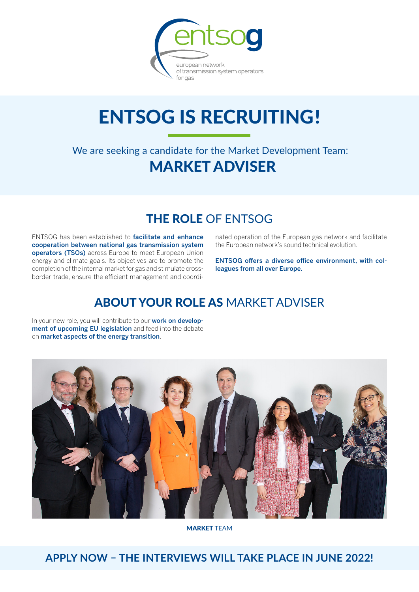

# **ENTSOG IS RECRUITING!**

We are seeking a candidate for the Market Development Team: MARKET ADVISER

### THE ROLE OF ENTSOG

ENTSOG has been established to facilitate and enhance cooperation between national gas transmission system operators (TSOs) across Europe to meet European Union energy and climate goals. Its objectives are to promote the completion of the internal market for gas and stimulate crossborder trade, ensure the efficient management and coordinated operation of the European gas network and facilitate the European network's sound technical evolution.

ENTSOG offers a diverse office environment, with colleagues from all over Europe.

### ABOUT YOUR ROLE AS MARKET ADVISER

In your new role, you will contribute to our work on development of upcoming EU legislation and feed into the debate on market aspects of the energy transition.



MARKET TEAM

**APPLY NOW – THE INTERVIEWS WILL TAKE PLACE IN JUNE 2022!**